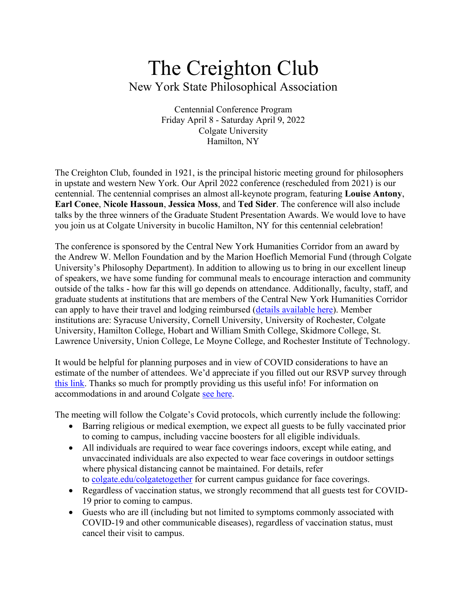# The Creighton Club New York State Philosophical Association

Centennial Conference Program Friday April 8 - Saturday April 9, 2022 Colgate University Hamilton, NY

The Creighton Club, founded in 1921, is the principal historic meeting ground for philosophers in upstate and western New York. Our April 2022 conference (rescheduled from 2021) is our centennial. The centennial comprises an almost all-keynote program, featuring **Louise Antony**, **Earl Conee**, **Nicole Hassoun**, **Jessica Moss**, and **Ted Sider**. The conference will also include talks by the three winners of the Graduate Student Presentation Awards. We would love to have you join us at Colgate University in bucolic Hamilton, NY for this centennial celebration!

The conference is sponsored by the Central New York Humanities Corridor from an award by the Andrew W. Mellon Foundation and by the Marion Hoeflich Memorial Fund (through Colgate University's Philosophy Department). In addition to allowing us to bring in our excellent lineup of speakers, we have some funding for communal meals to encourage interaction and community outside of the talks - how far this will go depends on attendance. Additionally, faculty, staff, and graduate students at institutions that are members of the Central New York Humanities Corridor can apply to have their travel and lodging reimbursed [\(details available here\)](https://www.cnycorridor.net/resources/intra-corridor-travel-supplement/). Member institutions are: Syracuse University, Cornell University, University of Rochester, Colgate University, Hamilton College, Hobart and William Smith College, Skidmore College, St. Lawrence University, Union College, Le Moyne College, and Rochester Institute of Technology.

It would be helpful for planning purposes and in view of COVID considerations to have an estimate of the number of attendees. We'd appreciate if you filled out our RSVP survey through [this link.](https://docs.google.com/forms/d/e/1FAIpQLScDLMUxUnVjLaVZVIAaD4K6Th2QQo-Ez9oEasllZFJXKHnLuQ/viewform) Thanks so much for promptly providing us this useful info! For information on accommodations in and around Colgate [see here.](https://www.colgate.edu/about/about-hamilton-ny/hotels-accommodations)

The meeting will follow the Colgate's Covid protocols, which currently include the following:

- Barring religious or medical exemption, we expect all guests to be fully vaccinated prior to coming to campus, including vaccine boosters for all eligible individuals.
- All individuals are required to wear face coverings indoors, except while eating, and unvaccinated individuals are also expected to wear face coverings in outdoor settings where physical distancing cannot be maintained. For details, refer to [colgate.edu/colgatetogether](http://colgate.edu/colgatetogether) for current campus guidance for face coverings.
- Regardless of vaccination status, we strongly recommend that all guests test for COVID-19 prior to coming to campus.
- Guests who are ill (including but not limited to symptoms commonly associated with COVID-19 and other communicable diseases), regardless of vaccination status, must cancel their visit to campus.